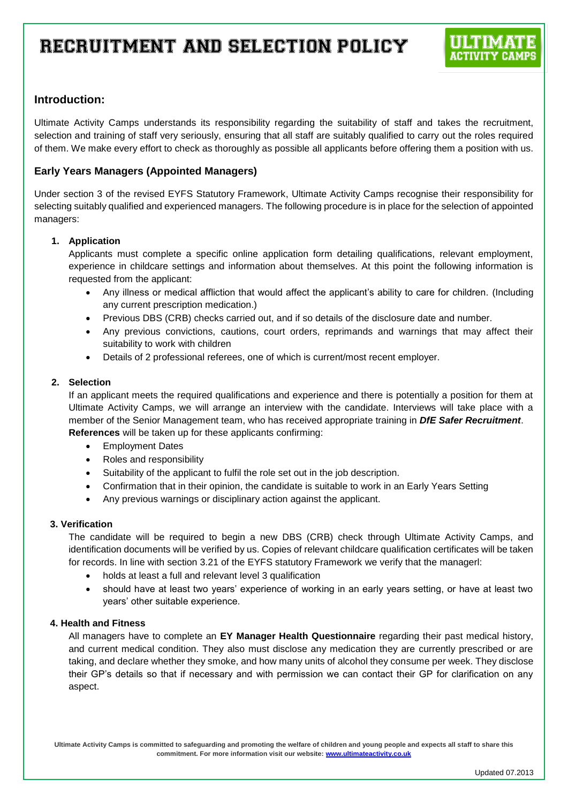# RECRUITMENT AND SELECTION POLICY

# **Introduction:**

Ultimate Activity Camps understands its responsibility regarding the suitability of staff and takes the recruitment, selection and training of staff very seriously, ensuring that all staff are suitably qualified to carry out the roles required of them. We make every effort to check as thoroughly as possible all applicants before offering them a position with us.

## **Early Years Managers (Appointed Managers)**

Under section 3 of the revised EYFS Statutory Framework, Ultimate Activity Camps recognise their responsibility for selecting suitably qualified and experienced managers. The following procedure is in place for the selection of appointed managers:

## **1. Application**

Applicants must complete a specific online application form detailing qualifications, relevant employment, experience in childcare settings and information about themselves. At this point the following information is requested from the applicant:

- Any illness or medical affliction that would affect the applicant's ability to care for children. (Including any current prescription medication.)
- Previous DBS (CRB) checks carried out, and if so details of the disclosure date and number.
- Any previous convictions, cautions, court orders, reprimands and warnings that may affect their suitability to work with children
- Details of 2 professional referees, one of which is current/most recent employer.

### **2. Selection**

If an applicant meets the required qualifications and experience and there is potentially a position for them at Ultimate Activity Camps, we will arrange an interview with the candidate. Interviews will take place with a member of the Senior Management team, who has received appropriate training in *DfE Safer Recruitment*. **References** will be taken up for these applicants confirming:

- Employment Dates
- Roles and responsibility
- Suitability of the applicant to fulfil the role set out in the job description.
- Confirmation that in their opinion, the candidate is suitable to work in an Early Years Setting
- Any previous warnings or disciplinary action against the applicant.

### **3. Verification**

The candidate will be required to begin a new DBS (CRB) check through Ultimate Activity Camps, and identification documents will be verified by us. Copies of relevant childcare qualification certificates will be taken for records. In line with section 3.21 of the EYFS statutory Framework we verify that the managerl:

- holds at least a full and relevant level 3 qualification
- should have at least two years' experience of working in an early years setting, or have at least two years' other suitable experience.

### **4. Health and Fitness**

All managers have to complete an **EY Manager Health Questionnaire** regarding their past medical history, and current medical condition. They also must disclose any medication they are currently prescribed or are taking, and declare whether they smoke, and how many units of alcohol they consume per week. They disclose their GP's details so that if necessary and with permission we can contact their GP for clarification on any aspect.

**Ultimate Activity Camps is committed to safeguarding and promoting the welfare of children and young people and expects all staff to share this commitment. For more information visit our website[: www.ultimateactivity.co.uk](http://www.ultimateactivity.co.uk/)**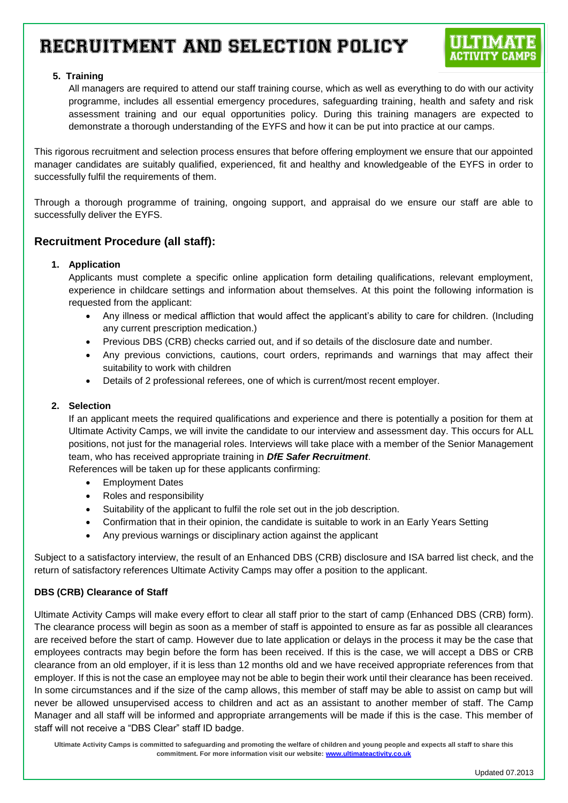# RECRUITMENT AND SELECTION POLICY

## **5. Training**

All managers are required to attend our staff training course, which as well as everything to do with our activity programme, includes all essential emergency procedures, safeguarding training, health and safety and risk assessment training and our equal opportunities policy. During this training managers are expected to demonstrate a thorough understanding of the EYFS and how it can be put into practice at our camps.

This rigorous recruitment and selection process ensures that before offering employment we ensure that our appointed manager candidates are suitably qualified, experienced, fit and healthy and knowledgeable of the EYFS in order to successfully fulfil the requirements of them.

Through a thorough programme of training, ongoing support, and appraisal do we ensure our staff are able to successfully deliver the EYFS.

# **Recruitment Procedure (all staff):**

### **1. Application**

Applicants must complete a specific online application form detailing qualifications, relevant employment, experience in childcare settings and information about themselves. At this point the following information is requested from the applicant:

- Any illness or medical affliction that would affect the applicant's ability to care for children. (Including any current prescription medication.)
- Previous DBS (CRB) checks carried out, and if so details of the disclosure date and number.
- Any previous convictions, cautions, court orders, reprimands and warnings that may affect their suitability to work with children
- Details of 2 professional referees, one of which is current/most recent employer.

## **2. Selection**

If an applicant meets the required qualifications and experience and there is potentially a position for them at Ultimate Activity Camps, we will invite the candidate to our interview and assessment day. This occurs for ALL positions, not just for the managerial roles. Interviews will take place with a member of the Senior Management team, who has received appropriate training in *DfE Safer Recruitment*.

References will be taken up for these applicants confirming:

- Employment Dates
- Roles and responsibility
- Suitability of the applicant to fulfil the role set out in the job description.
- Confirmation that in their opinion, the candidate is suitable to work in an Early Years Setting
- Any previous warnings or disciplinary action against the applicant

Subject to a satisfactory interview, the result of an Enhanced DBS (CRB) disclosure and ISA barred list check, and the return of satisfactory references Ultimate Activity Camps may offer a position to the applicant.

### **DBS (CRB) Clearance of Staff**

Ultimate Activity Camps will make every effort to clear all staff prior to the start of camp (Enhanced DBS (CRB) form). The clearance process will begin as soon as a member of staff is appointed to ensure as far as possible all clearances are received before the start of camp. However due to late application or delays in the process it may be the case that employees contracts may begin before the form has been received. If this is the case, we will accept a DBS or CRB clearance from an old employer, if it is less than 12 months old and we have received appropriate references from that employer. If this is not the case an employee may not be able to begin their work until their clearance has been received. In some circumstances and if the size of the camp allows, this member of staff may be able to assist on camp but will never be allowed unsupervised access to children and act as an assistant to another member of staff. The Camp Manager and all staff will be informed and appropriate arrangements will be made if this is the case. This member of staff will not receive a "DBS Clear" staff ID badge.

**Ultimate Activity Camps is committed to safeguarding and promoting the welfare of children and young people and expects all staff to share this commitment. For more information visit our website[: www.ultimateactivity.co.uk](http://www.ultimateactivity.co.uk/)**